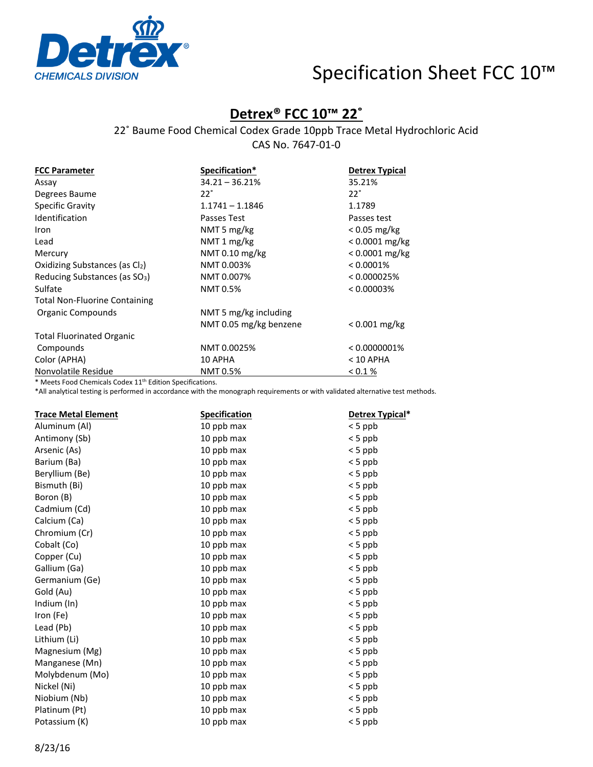

## Specification Sheet FCC 10™

## **Detrex® FCC 10™ 22˚**

22˚ Baume Food Chemical Codex Grade 10ppb Trace Metal Hydrochloric Acid CAS No. 7647-01-0

| <b>FCC Parameter</b>                 | Specification*         | <b>Detrex Typical</b> |
|--------------------------------------|------------------------|-----------------------|
| Assay                                | $34.21 - 36.21%$       | 35.21%                |
| Degrees Baume                        | $22^{\circ}$           | $22^{\circ}$          |
| <b>Specific Gravity</b>              | $1.1741 - 1.1846$      | 1.1789                |
| Identification                       | Passes Test            | Passes test           |
| <b>Iron</b>                          | NMT 5 mg/kg            | < 0.05 mg/kg          |
| Lead                                 | NMT 1 mg/kg            | < 0.0001 mg/kg        |
| Mercury                              | NMT 0.10 mg/kg         | $< 0.0001$ mg/kg      |
| Oxidizing Substances (as Cl2)        | NMT 0.003%             | $< 0.0001\%$          |
| Reducing Substances (as $SO3$ )      | NMT 0.007%             | < 0.000025%           |
| Sulfate                              | NMT 0.5%               | < 0.00003%            |
| <b>Total Non-Fluorine Containing</b> |                        |                       |
| Organic Compounds                    | NMT 5 mg/kg including  |                       |
|                                      | NMT 0.05 mg/kg benzene | $< 0.001$ mg/kg       |
| <b>Total Fluorinated Organic</b>     |                        |                       |
| Compounds                            | NMT 0.0025%            | $< 0.0000001\%$       |
| Color (APHA)                         | 10 APHA                | $<$ 10 APHA           |
| Nonvolatile Residue                  | NMT 0.5%               | $0.1\%$               |

\* Meets Food Chemicals Codex 11th Edition Specifications.

\*All analytical testing is performed in accordance with the monograph requirements or with validated alternative test methods.

| <b>Trace Metal Element</b> | <b>Specification</b> | Detrex Typical* |
|----------------------------|----------------------|-----------------|
| Aluminum (Al)              | 10 ppb max           | $< 5$ ppb       |
| Antimony (Sb)              | 10 ppb max           | $< 5$ ppb       |
| Arsenic (As)               | 10 ppb max           | $< 5$ ppb       |
| Barium (Ba)                | 10 ppb max           | $< 5$ ppb       |
| Beryllium (Be)             | 10 ppb max           | $< 5$ ppb       |
| Bismuth (Bi)               | 10 ppb max           | $< 5$ ppb       |
| Boron (B)                  | 10 ppb max           | $< 5$ ppb       |
| Cadmium (Cd)               | 10 ppb max           | $< 5$ ppb       |
| Calcium (Ca)               | 10 ppb max           | $< 5$ ppb       |
| Chromium (Cr)              | 10 ppb max           | $< 5$ ppb       |
| Cobalt (Co)                | 10 ppb max           | $< 5$ ppb       |
| Copper (Cu)                | 10 ppb max           | $< 5$ ppb       |
| Gallium (Ga)               | 10 ppb max           | $< 5$ ppb       |
| Germanium (Ge)             | 10 ppb max           | $< 5$ ppb       |
| Gold (Au)                  | 10 ppb max           | $< 5$ ppb       |
| Indium (In)                | 10 ppb max           | $< 5$ ppb       |
| Iron (Fe)                  | 10 ppb max           | $< 5$ ppb       |
| Lead (Pb)                  | 10 ppb max           | $< 5$ ppb       |
| Lithium (Li)               | 10 ppb max           | $< 5$ ppb       |
| Magnesium (Mg)             | 10 ppb max           | $< 5$ ppb       |
| Manganese (Mn)             | 10 ppb max           | $< 5$ ppb       |
| Molybdenum (Mo)            | 10 ppb max           | $< 5$ ppb       |
| Nickel (Ni)                | 10 ppb max           | $< 5$ ppb       |
| Niobium (Nb)               | 10 ppb max           | $< 5$ ppb       |
| Platinum (Pt)              | 10 ppb max           | $< 5$ ppb       |
| Potassium (K)              | 10 ppb max           | $< 5$ ppb       |
|                            |                      |                 |